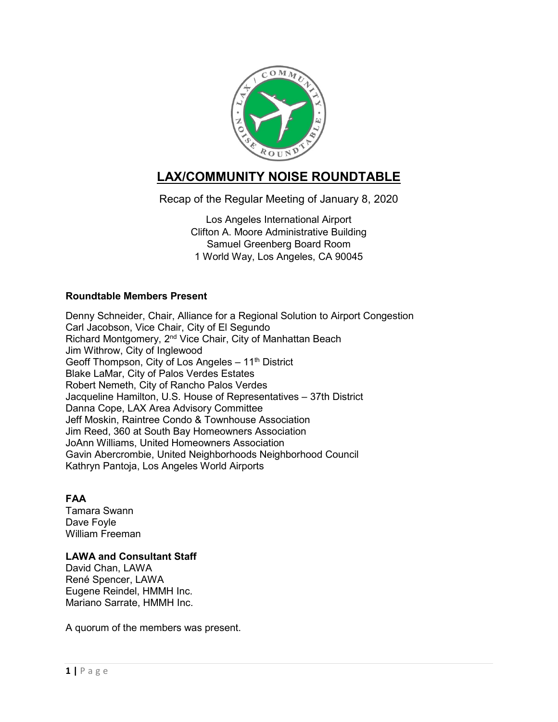

# **LAX/COMMUNITY NOISE ROUNDTABLE**

Recap of the Regular Meeting of January 8, 2020

Los Angeles International Airport Clifton A. Moore Administrative Building Samuel Greenberg Board Room 1 World Way, Los Angeles, CA 90045

# **Roundtable Members Present**

Denny Schneider, Chair, Alliance for a Regional Solution to Airport Congestion Carl Jacobson, Vice Chair, City of El Segundo Richard Montgomery, 2<sup>nd</sup> Vice Chair, City of Manhattan Beach Jim Withrow, City of Inglewood Geoff Thompson, City of Los Angeles - 11<sup>th</sup> District Blake LaMar, City of Palos Verdes Estates Robert Nemeth, City of Rancho Palos Verdes Jacqueline Hamilton, U.S. House of Representatives – 37th District Danna Cope, LAX Area Advisory Committee Jeff Moskin, Raintree Condo & Townhouse Association Jim Reed, 360 at South Bay Homeowners Association JoAnn Williams, United Homeowners Association Gavin Abercrombie, United Neighborhoods Neighborhood Council Kathryn Pantoja, Los Angeles World Airports

# **FAA**

Tamara Swann Dave Foyle William Freeman

# **LAWA and Consultant Staff**

David Chan, LAWA René Spencer, LAWA Eugene Reindel, HMMH Inc. Mariano Sarrate, HMMH Inc.

A quorum of the members was present.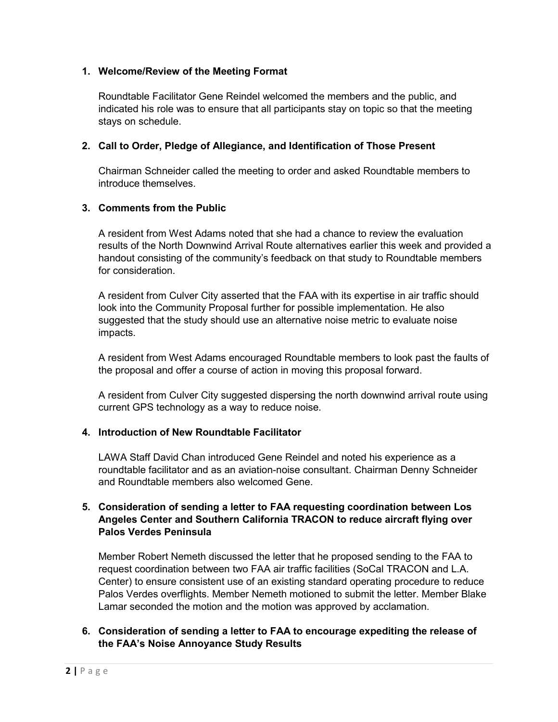## **1. Welcome/Review of the Meeting Format**

Roundtable Facilitator Gene Reindel welcomed the members and the public, and indicated his role was to ensure that all participants stay on topic so that the meeting stays on schedule.

#### **2. Call to Order, Pledge of Allegiance, and Identification of Those Present**

Chairman Schneider called the meeting to order and asked Roundtable members to introduce themselves.

## **3. Comments from the Public**

A resident from West Adams noted that she had a chance to review the evaluation results of the North Downwind Arrival Route alternatives earlier this week and provided a handout consisting of the community's feedback on that study to Roundtable members for consideration.

A resident from Culver City asserted that the FAA with its expertise in air traffic should look into the Community Proposal further for possible implementation. He also suggested that the study should use an alternative noise metric to evaluate noise impacts.

A resident from West Adams encouraged Roundtable members to look past the faults of the proposal and offer a course of action in moving this proposal forward.

A resident from Culver City suggested dispersing the north downwind arrival route using current GPS technology as a way to reduce noise.

#### **4. Introduction of New Roundtable Facilitator**

LAWA Staff David Chan introduced Gene Reindel and noted his experience as a roundtable facilitator and as an aviation-noise consultant. Chairman Denny Schneider and Roundtable members also welcomed Gene.

## **5. Consideration of sending a letter to FAA requesting coordination between Los Angeles Center and Southern California TRACON to reduce aircraft flying over Palos Verdes Peninsula**

Member Robert Nemeth discussed the letter that he proposed sending to the FAA to request coordination between two FAA air traffic facilities (SoCal TRACON and L.A. Center) to ensure consistent use of an existing standard operating procedure to reduce Palos Verdes overflights. Member Nemeth motioned to submit the letter. Member Blake Lamar seconded the motion and the motion was approved by acclamation.

## **6. Consideration of sending a letter to FAA to encourage expediting the release of the FAA's Noise Annoyance Study Results**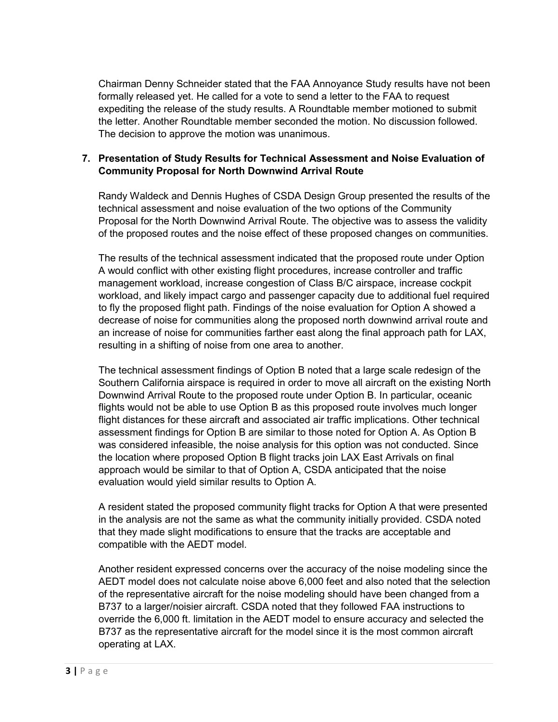Chairman Denny Schneider stated that the FAA Annoyance Study results have not been formally released yet. He called for a vote to send a letter to the FAA to request expediting the release of the study results. A Roundtable member motioned to submit the letter. Another Roundtable member seconded the motion. No discussion followed. The decision to approve the motion was unanimous.

## **7. Presentation of Study Results for Technical Assessment and Noise Evaluation of Community Proposal for North Downwind Arrival Route**

Randy Waldeck and Dennis Hughes of CSDA Design Group presented the results of the technical assessment and noise evaluation of the two options of the Community Proposal for the North Downwind Arrival Route. The objective was to assess the validity of the proposed routes and the noise effect of these proposed changes on communities.

The results of the technical assessment indicated that the proposed route under Option A would conflict with other existing flight procedures, increase controller and traffic management workload, increase congestion of Class B/C airspace, increase cockpit workload, and likely impact cargo and passenger capacity due to additional fuel required to fly the proposed flight path. Findings of the noise evaluation for Option A showed a decrease of noise for communities along the proposed north downwind arrival route and an increase of noise for communities farther east along the final approach path for LAX, resulting in a shifting of noise from one area to another.

The technical assessment findings of Option B noted that a large scale redesign of the Southern California airspace is required in order to move all aircraft on the existing North Downwind Arrival Route to the proposed route under Option B. In particular, oceanic flights would not be able to use Option B as this proposed route involves much longer flight distances for these aircraft and associated air traffic implications. Other technical assessment findings for Option B are similar to those noted for Option A. As Option B was considered infeasible, the noise analysis for this option was not conducted. Since the location where proposed Option B flight tracks join LAX East Arrivals on final approach would be similar to that of Option A, CSDA anticipated that the noise evaluation would yield similar results to Option A.

A resident stated the proposed community flight tracks for Option A that were presented in the analysis are not the same as what the community initially provided. CSDA noted that they made slight modifications to ensure that the tracks are acceptable and compatible with the AEDT model.

Another resident expressed concerns over the accuracy of the noise modeling since the AEDT model does not calculate noise above 6,000 feet and also noted that the selection of the representative aircraft for the noise modeling should have been changed from a B737 to a larger/noisier aircraft. CSDA noted that they followed FAA instructions to override the 6,000 ft. limitation in the AEDT model to ensure accuracy and selected the B737 as the representative aircraft for the model since it is the most common aircraft operating at LAX.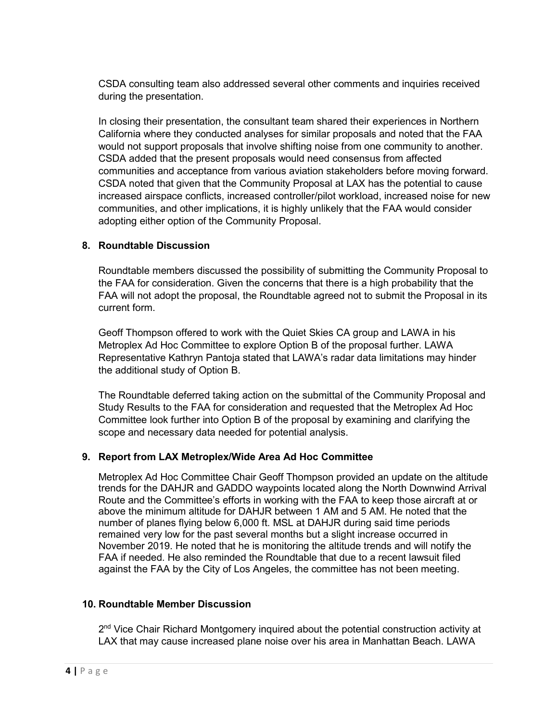CSDA consulting team also addressed several other comments and inquiries received during the presentation.

In closing their presentation, the consultant team shared their experiences in Northern California where they conducted analyses for similar proposals and noted that the FAA would not support proposals that involve shifting noise from one community to another. CSDA added that the present proposals would need consensus from affected communities and acceptance from various aviation stakeholders before moving forward. CSDA noted that given that the Community Proposal at LAX has the potential to cause increased airspace conflicts, increased controller/pilot workload, increased noise for new communities, and other implications, it is highly unlikely that the FAA would consider adopting either option of the Community Proposal.

## **8. Roundtable Discussion**

Roundtable members discussed the possibility of submitting the Community Proposal to the FAA for consideration. Given the concerns that there is a high probability that the FAA will not adopt the proposal, the Roundtable agreed not to submit the Proposal in its current form.

Geoff Thompson offered to work with the Quiet Skies CA group and LAWA in his Metroplex Ad Hoc Committee to explore Option B of the proposal further. LAWA Representative Kathryn Pantoja stated that LAWA's radar data limitations may hinder the additional study of Option B.

The Roundtable deferred taking action on the submittal of the Community Proposal and Study Results to the FAA for consideration and requested that the Metroplex Ad Hoc Committee look further into Option B of the proposal by examining and clarifying the scope and necessary data needed for potential analysis.

#### **9. Report from LAX Metroplex/Wide Area Ad Hoc Committee**

Metroplex Ad Hoc Committee Chair Geoff Thompson provided an update on the altitude trends for the DAHJR and GADDO waypoints located along the North Downwind Arrival Route and the Committee's efforts in working with the FAA to keep those aircraft at or above the minimum altitude for DAHJR between 1 AM and 5 AM. He noted that the number of planes flying below 6,000 ft. MSL at DAHJR during said time periods remained very low for the past several months but a slight increase occurred in November 2019. He noted that he is monitoring the altitude trends and will notify the FAA if needed. He also reminded the Roundtable that due to a recent lawsuit filed against the FAA by the City of Los Angeles, the committee has not been meeting.

#### **10. Roundtable Member Discussion**

 $2<sup>nd</sup>$  Vice Chair Richard Montgomery inquired about the potential construction activity at LAX that may cause increased plane noise over his area in Manhattan Beach. LAWA